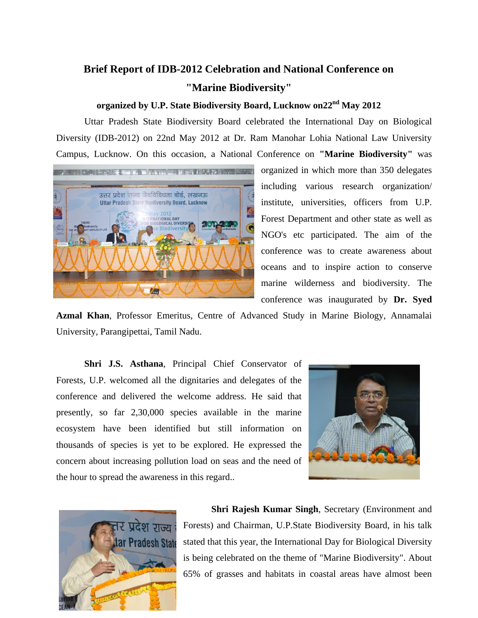## **Brief Report of IDB-2012 Celebration and National Conference on "Marine Biodiversity"**

## **organized by U.P. State Biodiversity Board, Lucknow on22nd May 2012**

Uttar Pradesh State Biodiversity Board celebrated the International Day on Biological Diversity (IDB-2012) on 22nd May 2012 at Dr. Ram Manohar Lohia National Law University Campus, Lucknow. On this occasion, a National Conference on **"Marine Biodiversity"** was



organized in which more than 350 delegates including various research organization/ institute, universities, officers from U.P. Forest Department and other state as well as NGO's etc participated. The aim of the conference was to create awareness about oceans and to inspire action to conserve marine wilderness and biodiversity. The conference was inaugurated by **Dr. Syed** 

**Azmal Khan**, Professor Emeritus, Centre of Advanced Study in Marine Biology, Annamalai University, Parangipettai, Tamil Nadu.

**Shri J.S. Asthana**, Principal Chief Conservator of Forests, U.P. welcomed all the dignitaries and delegates of the conference and delivered the welcome address. He said that presently, so far 2,30,000 species available in the marine ecosystem have been identified but still information on thousands of species is yet to be explored. He expressed the concern about increasing pollution load on seas and the need of the hour to spread the awareness in this regard..





**Shri Rajesh Kumar Singh**, Secretary (Environment and Forests) and Chairman, U.P.State Biodiversity Board, in his talk stated that this year, the International Day for Biological Diversity is being celebrated on the theme of "Marine Biodiversity". About 65% of grasses and habitats in coastal areas have almost been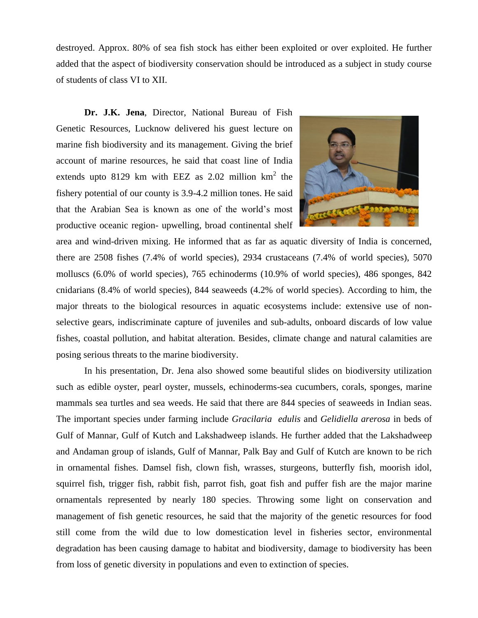destroyed. Approx. 80% of sea fish stock has either been exploited or over exploited. He further added that the aspect of biodiversity conservation should be introduced as a subject in study course of students of class VI to XII.

**Dr. J.K. Jena**, Director, National Bureau of Fish Genetic Resources, Lucknow delivered his guest lecture on marine fish biodiversity and its management. Giving the brief account of marine resources, he said that coast line of India extends upto 8129 km with EEZ as  $2.02$  million km<sup>2</sup> the fishery potential of our county is 3.9-4.2 million tones. He said that the Arabian Sea is known as one of the world's most productive oceanic region- upwelling, broad continental shelf



area and wind-driven mixing. He informed that as far as aquatic diversity of India is concerned, there are 2508 fishes (7.4% of world species), 2934 crustaceans (7.4% of world species), 5070 molluscs (6.0% of world species), 765 echinoderms (10.9% of world species), 486 sponges, 842 cnidarians (8.4% of world species), 844 seaweeds (4.2% of world species). According to him, the major threats to the biological resources in aquatic ecosystems include: extensive use of nonselective gears, indiscriminate capture of juveniles and sub-adults, onboard discards of low value fishes, coastal pollution, and habitat alteration. Besides, climate change and natural calamities are posing serious threats to the marine biodiversity.

In his presentation, Dr. Jena also showed some beautiful slides on biodiversity utilization such as edible oyster, pearl oyster, mussels, echinoderms-sea cucumbers, corals, sponges, marine mammals sea turtles and sea weeds. He said that there are 844 species of seaweeds in Indian seas. The important species under farming include *Gracilaria edulis* and *Gelidiella arerosa* in beds of Gulf of Mannar, Gulf of Kutch and Lakshadweep islands. He further added that the Lakshadweep and Andaman group of islands, Gulf of Mannar, Palk Bay and Gulf of Kutch are known to be rich in ornamental fishes. Damsel fish, clown fish, wrasses, sturgeons, butterfly fish, moorish idol, squirrel fish, trigger fish, rabbit fish, parrot fish, goat fish and puffer fish are the major marine ornamentals represented by nearly 180 species. Throwing some light on conservation and management of fish genetic resources, he said that the majority of the genetic resources for food still come from the wild due to low domestication level in fisheries sector, environmental degradation has been causing damage to habitat and biodiversity, damage to biodiversity has been from loss of genetic diversity in populations and even to extinction of species.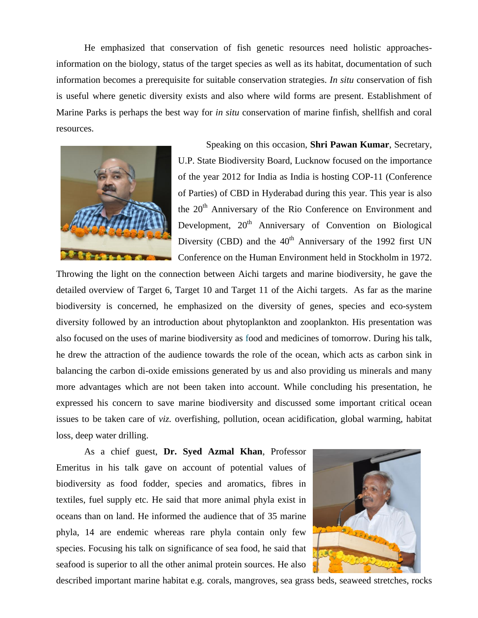He emphasized that conservation of fish genetic resources need holistic approachesinformation on the biology, status of the target species as well as its habitat, documentation of such information becomes a prerequisite for suitable conservation strategies. *In situ* conservation of fish is useful where genetic diversity exists and also where wild forms are present. Establishment of Marine Parks is perhaps the best way for *in situ* conservation of marine finfish, shellfish and coral resources.



Speaking on this occasion, **Shri Pawan Kumar**, Secretary, U.P. State Biodiversity Board, Lucknow focused on the importance of the year 2012 for India as India is hosting COP-11 (Conference of Parties) of CBD in Hyderabad during this year. This year is also the 20<sup>th</sup> Anniversary of the Rio Conference on Environment and Development,  $20<sup>th</sup>$  Anniversary of Convention on Biological Diversity (CBD) and the  $40<sup>th</sup>$  Anniversary of the 1992 first UN Conference on the Human Environment held in Stockholm in 1972.

Throwing the light on the connection between Aichi targets and marine biodiversity, he gave the detailed overview of Target 6, Target 10 and Target 11 of the Aichi targets. As far as the marine biodiversity is concerned, he emphasized on the diversity of genes, species and eco-system diversity followed by an introduction about phytoplankton and zooplankton. His presentation was also focused on the uses of marine biodiversity as food and medicines of tomorrow. During his talk, he drew the attraction of the audience towards the role of the ocean, which acts as carbon sink in balancing the carbon di-oxide emissions generated by us and also providing us minerals and many more advantages which are not been taken into account. While concluding his presentation, he expressed his concern to save marine biodiversity and discussed some important critical ocean issues to be taken care of *viz.* overfishing, pollution, ocean acidification, global warming, habitat loss, deep water drilling.

As a chief guest, **Dr. Syed Azmal Khan**, Professor Emeritus in his talk gave on account of potential values of biodiversity as food fodder, species and aromatics, fibres in textiles, fuel supply etc. He said that more animal phyla exist in oceans than on land. He informed the audience that of 35 marine phyla, 14 are endemic whereas rare phyla contain only few species. Focusing his talk on significance of sea food, he said that seafood is superior to all the other animal protein sources. He also



described important marine habitat e.g. corals, mangroves, sea grass beds, seaweed stretches, rocks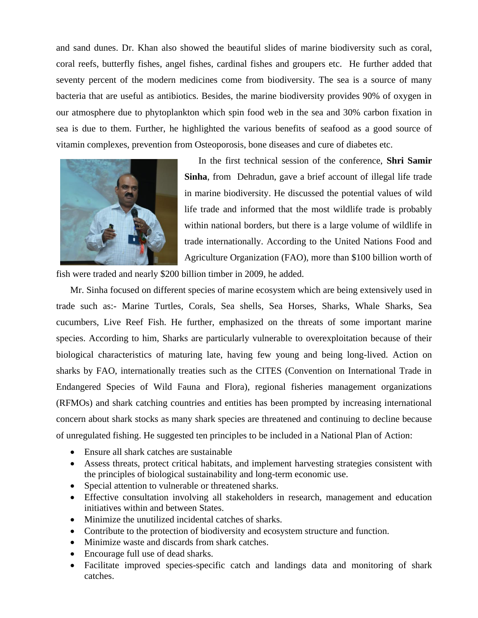and sand dunes. Dr. Khan also showed the beautiful slides of marine biodiversity such as coral, coral reefs, butterfly fishes, angel fishes, cardinal fishes and groupers etc. He further added that seventy percent of the modern medicines come from biodiversity. The sea is a source of many bacteria that are useful as antibiotics. Besides, the marine biodiversity provides 90% of oxygen in our atmosphere due to phytoplankton which spin food web in the sea and 30% carbon fixation in sea is due to them. Further, he highlighted the various benefits of seafood as a good source of vitamin complexes, prevention from Osteoporosis, bone diseases and cure of diabetes etc.



In the first technical session of the conference, **Shri Samir Sinha**, from Dehradun, gave a brief account of illegal life trade in marine biodiversity. He discussed the potential values of wild life trade and informed that the most wildlife trade is probably within national borders, but there is a large volume of wildlife in trade internationally. According to the United Nations Food and Agriculture Organization (FAO), more than \$100 billion worth of

fish were traded and nearly \$200 billion timber in 2009, he added.

Mr. Sinha focused on different species of marine ecosystem which are being extensively used in trade such as:- Marine Turtles, Corals, Sea shells, Sea Horses, Sharks, Whale Sharks, Sea cucumbers, Live Reef Fish. He further, emphasized on the threats of some important marine species. According to him, Sharks are particularly vulnerable to overexploitation because of their biological characteristics of maturing late, having few young and being long-lived. Action on sharks by FAO, internationally treaties such as the CITES (Convention on International Trade in Endangered Species of Wild Fauna and Flora), regional fisheries management organizations (RFMOs) and shark catching countries and entities has been prompted by increasing international concern about shark stocks as many shark species are threatened and continuing to decline because of unregulated fishing. He suggested ten principles to be included in a National Plan of Action:

- Ensure all shark catches are sustainable
- Assess threats, protect critical habitats, and implement harvesting strategies consistent with the principles of biological sustainability and long-term economic use.
- Special attention to vulnerable or threatened sharks.
- Effective consultation involving all stakeholders in research, management and education initiatives within and between States.
- Minimize the unutilized incidental catches of sharks.
- Contribute to the protection of biodiversity and ecosystem structure and function.
- Minimize waste and discards from shark catches.
- Encourage full use of dead sharks.
- Facilitate improved species-specific catch and landings data and monitoring of shark catches.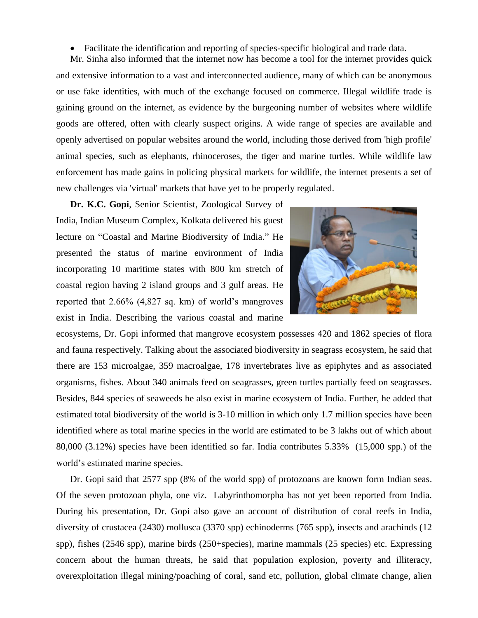Facilitate the identification and reporting of species-specific biological and trade data.

Mr. Sinha also informed that the internet now has become a tool for the internet provides quick and extensive information to a vast and interconnected audience, many of which can be anonymous or use fake identities, with much of the exchange focused on commerce. Illegal wildlife trade is gaining ground on the internet, as evidence by the burgeoning number of websites where wildlife goods are offered, often with clearly suspect origins. A wide range of species are available and openly advertised on popular websites around the world, including those derived from 'high profile' animal species, such as elephants, rhinoceroses, the tiger and marine turtles. While wildlife law enforcement has made gains in policing physical markets for wildlife, the internet presents a set of new challenges via 'virtual' markets that have yet to be properly regulated.

**Dr. K.C. Gopi**, Senior Scientist, Zoological Survey of India, Indian Museum Complex, Kolkata delivered his guest lecture on "Coastal and Marine Biodiversity of India." He presented the status of marine environment of India incorporating 10 maritime states with 800 km stretch of coastal region having 2 island groups and 3 gulf areas. He reported that 2.66% (4,827 sq. km) of world's mangroves exist in India. Describing the various coastal and marine



ecosystems, Dr. Gopi informed that mangrove ecosystem possesses 420 and 1862 species of flora and fauna respectively. Talking about the associated biodiversity in seagrass ecosystem, he said that there are 153 microalgae, 359 macroalgae, 178 invertebrates live as epiphytes and as associated organisms, fishes. About 340 animals feed on seagrasses, green turtles partially feed on seagrasses. Besides, 844 species of seaweeds he also exist in marine ecosystem of India. Further, he added that estimated total biodiversity of the world is 3-10 million in which only 1.7 million species have been identified where as total marine species in the world are estimated to be 3 lakhs out of which about 80,000 (3.12%) species have been identified so far. India contributes 5.33% (15,000 spp.) of the world's estimated marine species.

Dr. Gopi said that 2577 spp (8% of the world spp) of protozoans are known form Indian seas. Of the seven protozoan phyla, one viz. Labyrinthomorpha has not yet been reported from India. During his presentation, Dr. Gopi also gave an account of distribution of coral reefs in India, diversity of crustacea (2430) mollusca (3370 spp) echinoderms (765 spp), insects and arachinds (12 spp), fishes (2546 spp), marine birds (250+species), marine mammals (25 species) etc. Expressing concern about the human threats, he said that population explosion, poverty and illiteracy, overexploitation illegal mining/poaching of coral, sand etc, pollution, global climate change, alien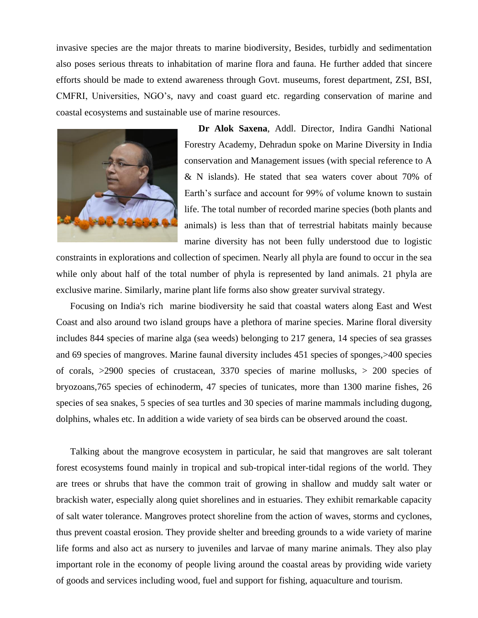invasive species are the major threats to marine biodiversity, Besides, turbidly and sedimentation also poses serious threats to inhabitation of marine flora and fauna. He further added that sincere efforts should be made to extend awareness through Govt. museums, forest department, ZSI, BSI, CMFRI, Universities, NGO's, navy and coast guard etc. regarding conservation of marine and coastal ecosystems and sustainable use of marine resources.



**Dr Alok Saxena**, Addl. Director, Indira Gandhi National Forestry Academy, Dehradun spoke on Marine Diversity in India conservation and Management issues (with special reference to A & N islands). He stated that sea waters cover about 70% of Earth's surface and account for 99% of volume known to sustain life. The total number of recorded marine species (both plants and animals) is less than that of terrestrial habitats mainly because marine diversity has not been fully understood due to logistic

constraints in explorations and collection of specimen. Nearly all phyla are found to occur in the sea while only about half of the total number of phyla is represented by land animals. 21 phyla are exclusive marine. Similarly, marine plant life forms also show greater survival strategy.

Focusing on India's rich marine biodiversity he said that coastal waters along East and West Coast and also around two island groups have a plethora of marine species. Marine floral diversity includes 844 species of marine alga (sea weeds) belonging to 217 genera, 14 species of sea grasses and 69 species of mangroves. Marine faunal diversity includes 451 species of sponges,>400 species of corals, >2900 species of crustacean, 3370 species of marine mollusks, > 200 species of bryozoans,765 species of echinoderm, 47 species of tunicates, more than 1300 marine fishes, 26 species of sea snakes, 5 species of sea turtles and 30 species of marine mammals including dugong, dolphins, whales etc. In addition a wide variety of sea birds can be observed around the coast.

Talking about the mangrove ecosystem in particular, he said that mangroves are salt tolerant forest ecosystems found mainly in tropical and sub-tropical inter-tidal regions of the world. They are trees or shrubs that have the common trait of growing in shallow and muddy salt water or brackish water, especially along quiet shorelines and in estuaries. They exhibit remarkable capacity of salt water tolerance. Mangroves protect shoreline from the action of waves, storms and cyclones, thus prevent coastal erosion. They provide shelter and breeding grounds to a wide variety of marine life forms and also act as nursery to juveniles and larvae of many marine animals. They also play important role in the economy of people living around the coastal areas by providing wide variety of goods and services including wood, fuel and support for fishing, aquaculture and tourism.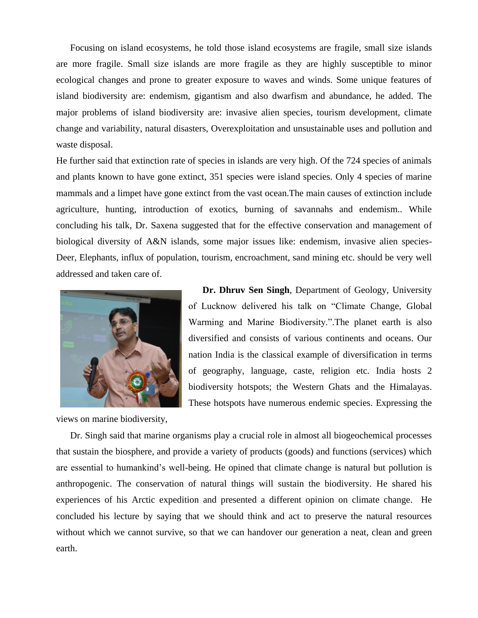Focusing on island ecosystems, he told those island ecosystems are fragile, small size islands are more fragile. Small size islands are more fragile as they are highly susceptible to minor ecological changes and prone to greater exposure to waves and winds. Some unique features of island biodiversity are: endemism, gigantism and also dwarfism and abundance, he added. The major problems of island biodiversity are: invasive alien species, tourism development, climate change and variability, natural disasters, Overexploitation and unsustainable uses and pollution and waste disposal.

He further said that extinction rate of species in islands are very high. Of the 724 species of animals and plants known to have gone extinct, 351 species were island species. Only 4 species of marine mammals and a limpet have gone extinct from the vast ocean.The main causes of extinction include agriculture, hunting, introduction of exotics, burning of savannahs and endemism.. While concluding his talk, Dr. Saxena suggested that for the effective conservation and management of biological diversity of A&N islands, some major issues like: endemism, invasive alien species-Deer, Elephants, influx of population, tourism, encroachment, sand mining etc. should be very well addressed and taken care of.



**Dr. Dhruv Sen Singh**, Department of Geology, University of Lucknow delivered his talk on "Climate Change, Global Warming and Marine Biodiversity.".The planet earth is also diversified and consists of various continents and oceans. Our nation India is the classical example of diversification in terms of geography, language, caste, religion etc. India hosts 2 biodiversity hotspots; the Western Ghats and the Himalayas. These hotspots have numerous endemic species. Expressing the

views on marine biodiversity,

Dr. Singh said that marine organisms play a crucial role in almost all biogeochemical processes that sustain the biosphere, and provide a variety of products (goods) and functions (services) which are essential to humankind's well-being. He opined that climate change is natural but pollution is anthropogenic. The conservation of natural things will sustain the biodiversity. He shared his experiences of his Arctic expedition and presented a different opinion on climate change. He concluded his lecture by saying that we should think and act to preserve the natural resources without which we cannot survive, so that we can handover our generation a neat, clean and green earth.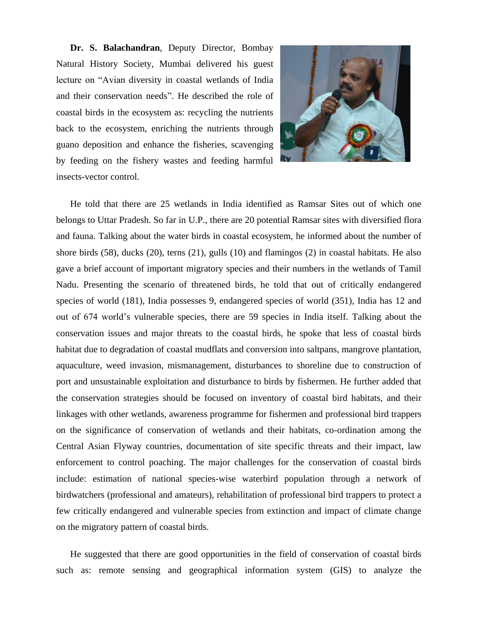**Dr. S. Balachandran**, Deputy Director, Bombay Natural History Society, Mumbai delivered his guest lecture on "Avian diversity in coastal wetlands of India and their conservation needs". He described the role of coastal birds in the ecosystem as: recycling the nutrients back to the ecosystem, enriching the nutrients through guano deposition and enhance the fisheries, scavenging by feeding on the fishery wastes and feeding harmful insects-vector control.



He told that there are 25 wetlands in India identified as Ramsar Sites out of which one belongs to Uttar Pradesh. So far in U.P., there are 20 potential Ramsar sites with diversified flora and fauna. Talking about the water birds in coastal ecosystem, he informed about the number of shore birds (58), ducks (20), terns (21), gulls (10) and flamingos (2) in coastal habitats. He also gave a brief account of important migratory species and their numbers in the wetlands of Tamil Nadu. Presenting the scenario of threatened birds, he told that out of critically endangered species of world (181), India possesses 9, endangered species of world (351), India has 12 and out of 674 world's vulnerable species, there are 59 species in India itself. Talking about the conservation issues and major threats to the coastal birds, he spoke that less of coastal birds habitat due to degradation of coastal mudflats and conversion into saltpans, mangrove plantation, aquaculture, weed invasion, mismanagement, disturbances to shoreline due to construction of port and unsustainable exploitation and disturbance to birds by fishermen. He further added that the conservation strategies should be focused on inventory of coastal bird habitats, and their linkages with other wetlands, awareness programme for fishermen and professional bird trappers on the significance of conservation of wetlands and their habitats, co-ordination among the Central Asian Flyway countries, documentation of site specific threats and their impact, law enforcement to control poaching. The major challenges for the conservation of coastal birds include: estimation of national species-wise waterbird population through a network of birdwatchers (professional and amateurs), rehabilitation of professional bird trappers to protect a few critically endangered and vulnerable species from extinction and impact of climate change on the migratory pattern of coastal birds.

He suggested that there are good opportunities in the field of conservation of coastal birds such as: remote sensing and geographical information system (GIS) to analyze the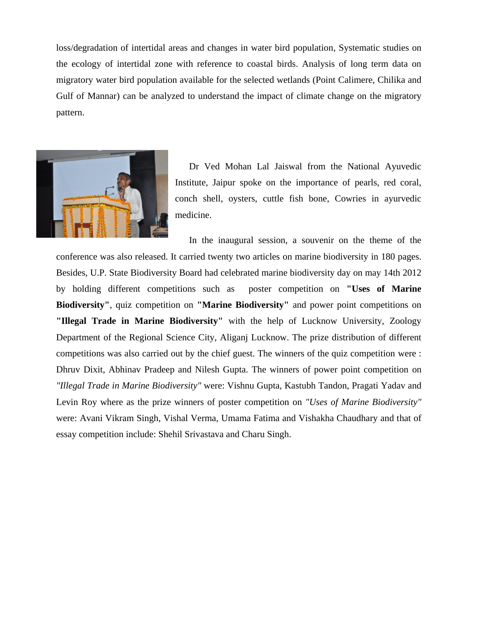loss/degradation of intertidal areas and changes in water bird population, Systematic studies on the ecology of intertidal zone with reference to coastal birds. Analysis of long term data on migratory water bird population available for the selected wetlands (Point Calimere, Chilika and Gulf of Mannar) can be analyzed to understand the impact of climate change on the migratory pattern.



Dr Ved Mohan Lal Jaiswal from the National Ayuvedic Institute, Jaipur spoke on the importance of pearls, red coral, conch shell, oysters, cuttle fish bone, Cowries in ayurvedic medicine.

In the inaugural session, a souvenir on the theme of the conference was also released. It carried twenty two articles on marine biodiversity in 180 pages. Besides, U.P. State Biodiversity Board had celebrated marine biodiversity day on may 14th 2012 by holding different competitions such as poster competition on **"Uses of Marine Biodiversity"**, quiz competition on **"Marine Biodiversity"** and power point competitions on **"Illegal Trade in Marine Biodiversity"** with the help of Lucknow University, Zoology Department of the Regional Science City, Aliganj Lucknow. The prize distribution of different competitions was also carried out by the chief guest. The winners of the quiz competition were : Dhruv Dixit, Abhinav Pradeep and Nilesh Gupta. The winners of power point competition on *"Illegal Trade in Marine Biodiversity"* were: Vishnu Gupta, Kastubh Tandon, Pragati Yadav and Levin Roy where as the prize winners of poster competition on *"Uses of Marine Biodiversity"* were: Avani Vikram Singh, Vishal Verma, Umama Fatima and Vishakha Chaudhary and that of essay competition include: Shehil Srivastava and Charu Singh.